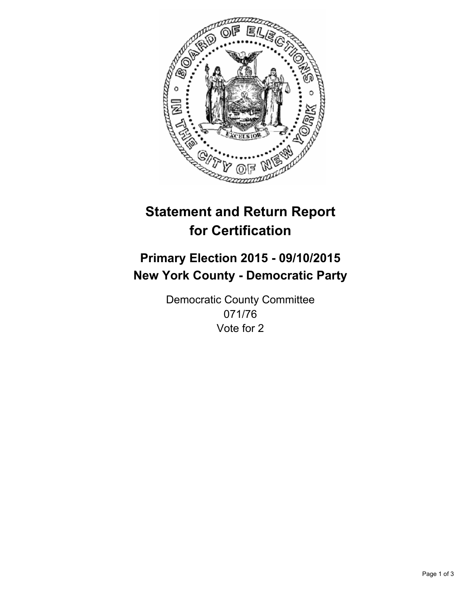

# **Statement and Return Report for Certification**

## **Primary Election 2015 - 09/10/2015 New York County - Democratic Party**

Democratic County Committee 071/76 Vote for 2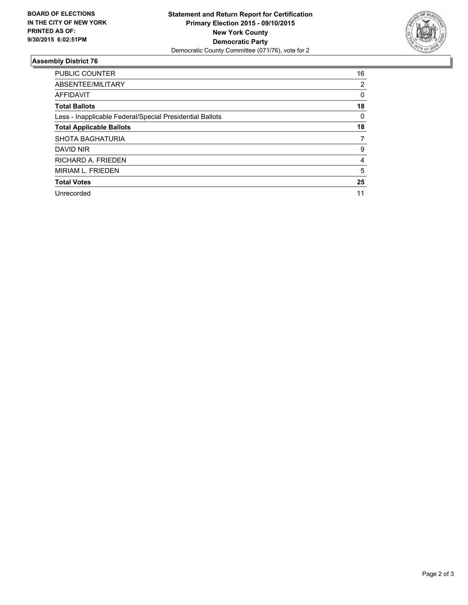

#### **Assembly District 76**

| <b>PUBLIC COUNTER</b>                                    | 16 |
|----------------------------------------------------------|----|
| ABSENTEE/MILITARY                                        | 2  |
| <b>AFFIDAVIT</b>                                         | 0  |
| <b>Total Ballots</b>                                     | 18 |
| Less - Inapplicable Federal/Special Presidential Ballots | 0  |
| <b>Total Applicable Ballots</b>                          | 18 |
| <b>SHOTA BAGHATURIA</b>                                  | 7  |
| DAVID NIR                                                | 9  |
| RICHARD A. FRIEDEN                                       | 4  |
| MIRIAM L. FRIEDEN                                        | 5  |
| <b>Total Votes</b>                                       | 25 |
| Unrecorded                                               | 11 |